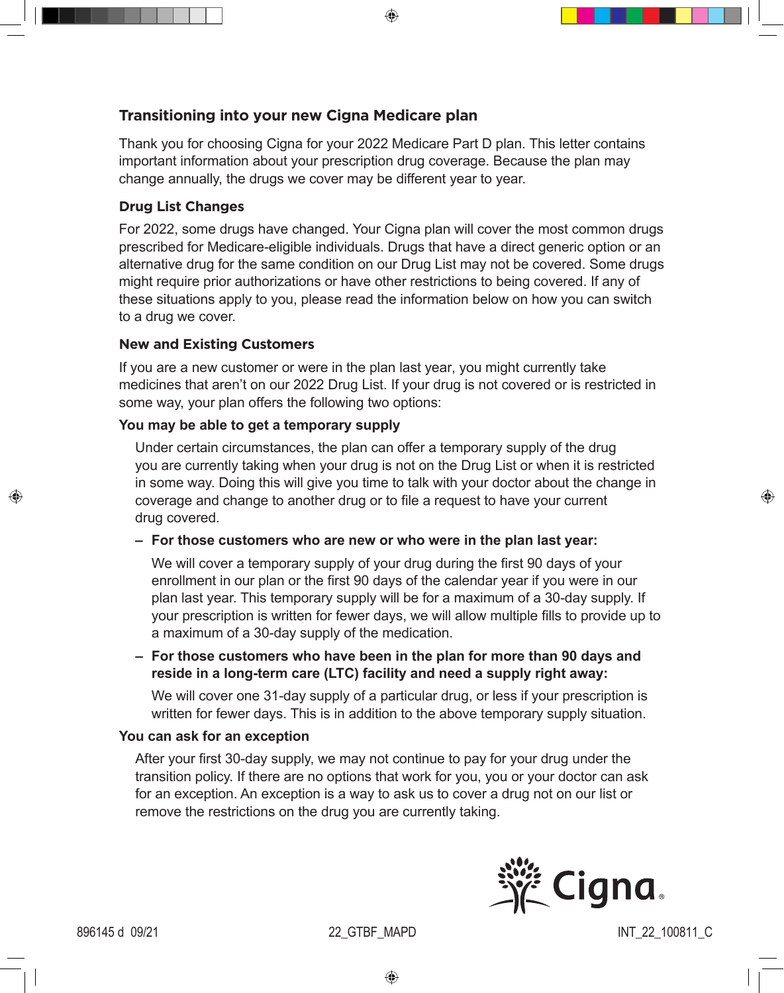⊕

# **Transitioning into your new Cigna Medicare plan**

Thank you for choosing Cigna for your 2022 Medicare Part D plan. This letter contains important information about your prescription drug coverage. Because the plan may change annually, the drugs we cover may be different year to year.

## **Drug List Changes**

For 2022, some drugs have changed. Your Cigna plan will cover the most common drugs prescribed for Medicare-eligible individuals. Drugs that have a direct generic option or an alternative drug for the same condition on our Drug List may not be covered. Some drugs might require prior authorizations or have other restrictions to being covered. If any of these situations apply to you, please read the information below on how you can switch to a drug we cover.

#### **New and Existing Customers**

If you are a new customer or were in the plan last year, you might currently take medicines that aren't on our 2022 Drug List. If your drug is not covered or is restricted in some way, your plan offers the following two options:

# **You may be able to get a temporary supply**

Under certain circumstances, the plan can offer a temporary supply of the drug you are currently taking when your drug is not on the Drug List or when it is restricted in some way. Doing this will give you time to talk with your doctor about the change in coverage and change to another drug or to file a request to have your current drug covered.

**– For those customers who are new or who were in the plan last year:** 

We will cover a temporary supply of your drug during the first 90 days of your enrollment in our plan or the first 90 days of the calendar year if you were in our plan last year. This temporary supply will be for a maximum of a 30-day supply. If your prescription is written for fewer days, we will allow multiple fills to provide up to a maximum of a 30-day supply of the medication.

**– For those customers who have been in the plan for more than 90 days and reside in a long-term care (LTC) facility and need a supply right away:** 

We will cover one 31-day supply of a particular drug, or less if your prescription is written for fewer days. This is in addition to the above temporary supply situation.

#### **You can ask for an exception**

After your first 30-day supply, we may not continue to pay for your drug under the transition policy. If there are no options that work for you, you or your doctor can ask for an exception. An exception is a way to ask us to cover a drug not on our list or remove the restrictions on the drug you are currently taking.



♠

⊕

896145 d 09/21 22\_GTBF\_MAPD INT\_22\_100811\_C

⊕